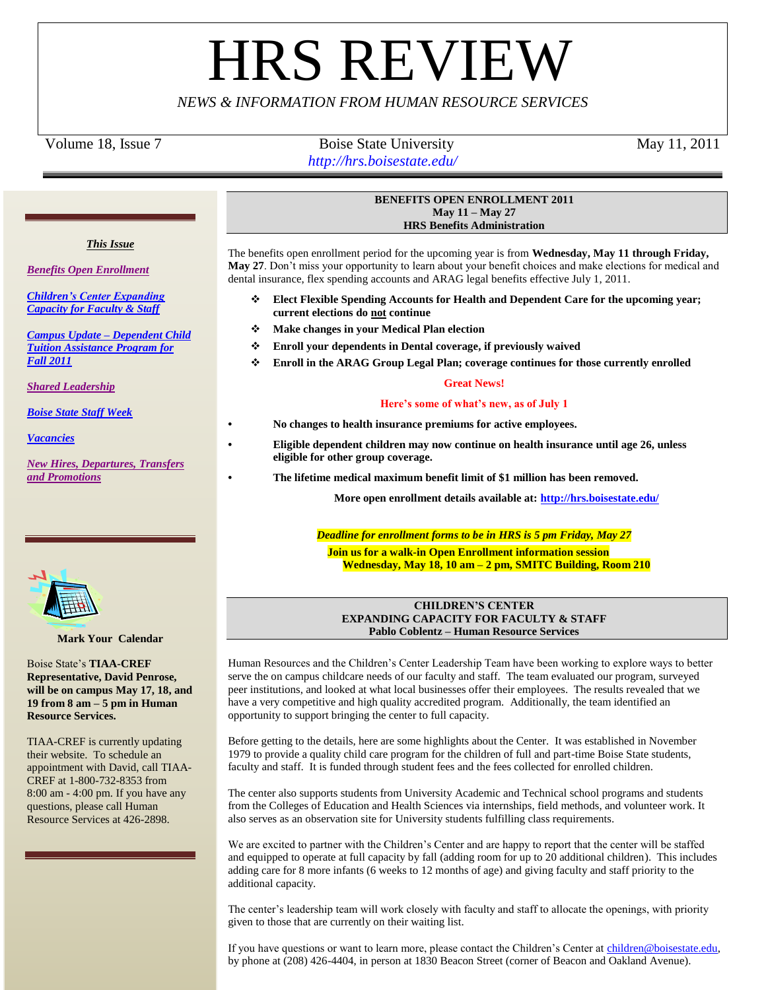# **HRS REVIE**

# *NEWS & INFORMATION FROM HUMAN RESOURCE SERVICES*

*This Issue* 

*[Campus Update –](#page-1-0) Dependent Child* 

*[Benefits Open Enrollment](#page-0-0)*

*[Children's Center Expanding](#page-0-1)  [Capacity for Faculty & Staff](#page-0-1)*

Volume 18, Issue 7 Boise State University May 11, 2011 *http://hrs.boisestate.edu/*

<span id="page-0-0"></span>**BENEFITS OPEN ENROLLMENT 2011 May 11 – May 27**

**HRS Benefits Administration**

The benefits open enrollment period for the upcoming year is from **Wednesday, May 11 through Friday, May 27**. Don't miss your opportunity to learn about your benefit choices and make elections for medical and dental insurance, flex spending accounts and ARAG legal benefits effective July 1, 2011.

- **Elect Flexible Spending Accounts for Health and Dependent Care for the upcoming year; current elections do not continue**
- **Make changes in your Medical Plan election**
- **Enroll your dependents in Dental coverage, if previously waived**
- **Enroll in the ARAG Group Legal Plan; coverage continues for those currently enrolled**

# **Great News!**

# **Here's some of what's new, as of July 1**

- **• No changes to health insurance premiums for active employees.**
- **• Eligible dependent children may now continue on health insurance until age 26, unless eligible for other group coverage.** 
	- **• The lifetime medical maximum benefit limit of \$1 million has been removed.**

**More open enrollment details available at:<http://hrs.boisestate.edu/>**

*Deadline for enrollment forms to be in HRS is 5 pm Friday, May 27*

**Join us for a walk-in Open Enrollment information session Wednesday, May 18, 10 am – 2 pm, SMITC Building, Room 210**

# **CHILDREN'S CENTER EXPANDING CAPACITY FOR FACULTY & STAFF Pablo Coblentz – Human Resource Services**

<span id="page-0-1"></span>Human Resources and the Children's Center Leadership Team have been working to explore ways to better serve the on campus childcare needs of our faculty and staff. The team evaluated our program, surveyed peer institutions, and looked at what local businesses offer their employees. The results revealed that we have a very competitive and high quality accredited program. Additionally, the team identified an opportunity to support bringing the center to full capacity.

Before getting to the details, here are some highlights about the Center. It was established in November 1979 to provide a quality child care program for the children of full and part-time Boise State students, faculty and staff. It is funded through student fees and the fees collected for enrolled children.

The center also supports students from University Academic and Technical school programs and students from the Colleges of Education and Health Sciences via internships, field methods, and volunteer work. It also serves as an observation site for University students fulfilling class requirements.

We are excited to partner with the Children's Center and are happy to report that the center will be staffed and equipped to operate at full capacity by fall (adding room for up to 20 additional children). This includes adding care for 8 more infants (6 weeks to 12 months of age) and giving faculty and staff priority to the additional capacity.

The center's leadership team will work closely with faculty and staff to allocate the openings, with priority given to those that are currently on their waiting list.

If you have questions or want to learn more, please contact the Children's Center at [children@boisestate.edu,](mailto:children@boisestate.edu) by phone at (208) 426-4404, in person at 1830 Beacon Street (corner of Beacon and Oakland Avenue).



**Mark Your Calendar**

Boise State's **TIAA-CREF Representative, David Penrose, will be on campus May 17, 18, and 19 from 8 am – 5 pm in Human Resource Services.**

TIAA-CREF is currently updating their website. To schedule an appointment with David, call TIAA-CREF at 1-800-732-8353 from 8:00 am - 4:00 pm. If you have any questions, please call Human Resource Services at 426-2898.



*[Tuition Assistance Program for](#page-1-0)* 

*[Shared Leadership](#page-2-0)*

*[Boise State Staff Week](#page-2-1)*

*[Vacancies](#page-3-0)*

*[Fall 2011](#page-1-0)*

*[New Hires, Departures, Transfers](#page-3-1)  [and Promotions](#page-3-1)*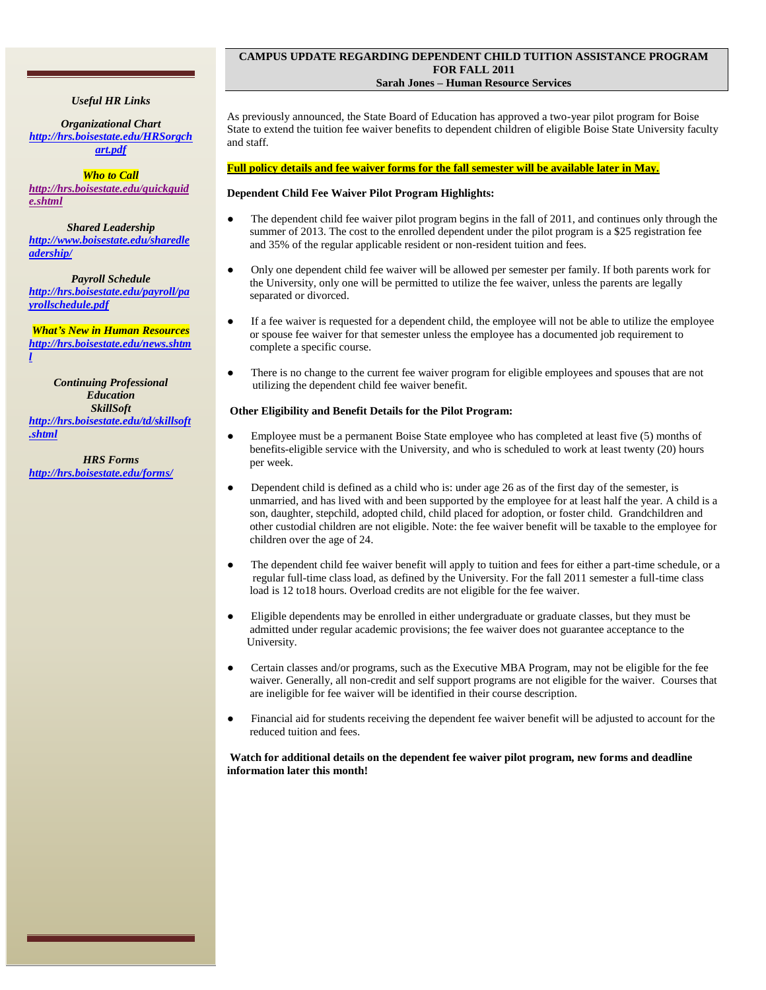# *Useful HR Links*

*Organizational Chart [http://hrs.boisestate.edu/HRSorgch](http://hrs.boisestate.edu/HRSorgchart.pdf) [art.pdf](http://hrs.boisestate.edu/HRSorgchart.pdf)*

*Who to Call [http://hrs.boisestate.edu/quickguid](http://hrs.boisestate.edu/quickguide.shtml) [e.shtml](http://hrs.boisestate.edu/quickguide.shtml)*

*Shared Leadership [http://www.boisestate.edu/sharedle](http://www.boisestate.edu/sharedleadership/) [adership/](http://www.boisestate.edu/sharedleadership/)*

*Payroll Schedule [http://hrs.boisestate.edu/payroll/pa](http://hrs.boisestate.edu/payroll/payrollschedule.pdf) [yrollschedule.pdf](http://hrs.boisestate.edu/payroll/payrollschedule.pdf)*

*What's New in Human Resources [http://hrs.boisestate.edu/news.shtm](http://hrs.boisestate.edu/news.shtml) [l](http://hrs.boisestate.edu/news.shtml)*

*Continuing Professional Education SkillSoft [http://hrs.boisestate.edu/td/skillsoft](http://hrs.boisestate.edu/td/skillsoft.shtml) [.shtml](http://hrs.boisestate.edu/td/skillsoft.shtml)*

*HRS Forms <http://hrs.boisestate.edu/forms/>*

# <span id="page-1-0"></span>**CAMPUS UPDATE REGARDING DEPENDENT CHILD TUITION ASSISTANCE PROGRAM FOR FALL 2011 Sarah Jones – Human Resource Services**

As previously announced, the State Board of Education has approved a two-year pilot program for Boise State to extend the tuition fee waiver benefits to dependent children of eligible Boise State University faculty and staff.

# **Full policy details and fee waiver forms for the fall semester will be available later in May.**

# **Dependent Child Fee Waiver Pilot Program Highlights:**

- The dependent child fee waiver pilot program begins in the fall of  $2011$ , and continues only through the summer of 2013. The cost to the enrolled dependent under the pilot program is a \$25 registration fee and 35% of the regular applicable resident or non-resident tuition and fees.
- Only one dependent child fee waiver will be allowed per semester per family. If both parents work for the University, only one will be permitted to utilize the fee waiver, unless the parents are legally separated or divorced.
- If a fee waiver is requested for a dependent child, the employee will not be able to utilize the employee or spouse fee waiver for that semester unless the employee has a documented job requirement to complete a specific course.
- There is no change to the current fee waiver program for eligible employees and spouses that are not utilizing the dependent child fee waiver benefit.

# **Other Eligibility and Benefit Details for the Pilot Program:**

- Employee must be a permanent Boise State employee who has completed at least five (5) months of benefits-eligible service with the University, and who is scheduled to work at least twenty (20) hours per week.
- Dependent child is defined as a child who is: under age 26 as of the first day of the semester, is unmarried, and has lived with and been supported by the employee for at least half the year. A child is a son, daughter, stepchild, adopted child, child placed for adoption, or foster child. Grandchildren and other custodial children are not eligible. Note: the fee waiver benefit will be taxable to the employee for children over the age of 24.
- The dependent child fee waiver benefit will apply to tuition and fees for either a part-time schedule, or a regular full-time class load, as defined by the University. For the fall 2011 semester a full-time class load is 12 to18 hours. Overload credits are not eligible for the fee waiver.
- Eligible dependents may be enrolled in either undergraduate or graduate classes, but they must be admitted under regular academic provisions; the fee waiver does not guarantee acceptance to the University.
- Certain classes and/or programs, such as the Executive MBA Program, may not be eligible for the fee waiver. Generally, all non-credit and self support programs are not eligible for the waiver. Courses that are ineligible for fee waiver will be identified in their course description.
- Financial aid for students receiving the dependent fee waiver benefit will be adjusted to account for the reduced tuition and fees.

# **Watch for additional details on the dependent fee waiver pilot program, new forms and deadline information later this month!**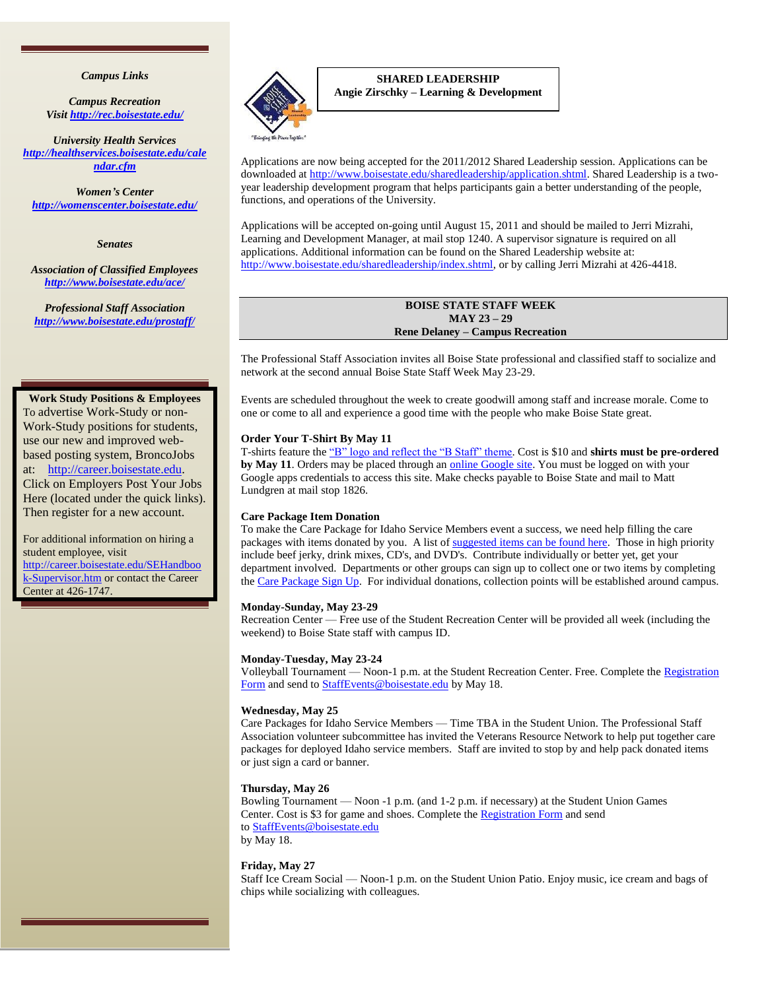# *Campus Links*

*Campus Recreation Visit<http://rec.boisestate.edu/>*

*University Health Services [http://healthservices.boisestate.edu/cale](http://healthservices.boisestate.edu/calendar.cfm) [ndar.cfm](http://healthservices.boisestate.edu/calendar.cfm)*

*Women's Center <http://womenscenter.boisestate.edu/>*

*Senates*

*Association of Classified Employees <http://www.boisestate.edu/ace/>*

*Professional Staff Association <http://www.boisestate.edu/prostaff/>*

#### **Work Study Positions & Employees**

To advertise Work-Study or non-Work-Study positions for students, use our new and improved webbased posting system, BroncoJobs at: http://career.boisestate.edu. Click on Employers Post Your Jobs Here (located under the quick links). Then register for a new account.

For additional information on hiring a student employee, visit [http://career.boisestate.edu/SEHandboo](http://career.boisestate.edu/SEHandbook-Supervisor.htm) [k-Supervisor.htm](http://career.boisestate.edu/SEHandbook-Supervisor.htm) or contact the Career Center at 426-1747.



<span id="page-2-0"></span>**SHARED LEADERSHIP Angie Zirschky – Learning & Development**

Applications are now being accepted for the 2011/2012 Shared Leadership session. Applications can be downloaded a[t http://www.boisestate.edu/sharedleadership/application.shtml.](http://www.boisestate.edu/sharedleadership/application.shtml) Shared Leadership is a twoyear leadership development program that helps participants gain a better understanding of the people, functions, and operations of the University.

Applications will be accepted on-going until August 15, 2011 and should be mailed to Jerri Mizrahi, Learning and Development Manager, at mail stop 1240. A supervisor signature is required on all applications. Additional information can be found on the Shared Leadership website at: [http://www.boisestate.edu/sharedleadership/index.shtml,](http://www.boisestate.edu/sharedleadership/index.shtml) or by calling Jerri Mizrahi at 426-4418.

# **BOISE STATE STAFF WEEK MAY 23 – 29 Rene Delaney – Campus Recreation**

<span id="page-2-1"></span>The Professional Staff Association invites all Boise State professional and classified staff to socialize and network at the second annual Boise State Staff Week May 23-29.

Events are scheduled throughout the week to create goodwill among staff and increase morale. Come to one or come to all and experience a good time with the people who make Boise State great.

#### **Order Your T-Shirt By May 11**

T-shirts feature the "B" logo and reflect the "B Staff" theme. Cost is \$10 and **shirts must be pre-ordered by May 11**. Orders may be placed through an [online Google site.](https://spreadsheets.google.com/a/boisestate.edu/spreadsheet/viewform?formkey=dDBudzZiM1JLX0RCM2NqNTFZN2tjRWc6MQ) You must be logged on with your Google apps credentials to access this site. Make checks payable to Boise State and mail to Matt Lundgren at mail stop 1826.

#### **Care Package Item Donation**

To make the Care Package for Idaho Service Members event a success, we need help filling the care packages with items donated by you. A list of [suggested items can be found here.](http://www.vrnonline.org/care_packages.htm) Those in high priority include beef jerky, drink mixes, CD's, and DVD's. Contribute individually or better yet, get your department involved. Departments or other groups can sign up to collect one or two items by completing the [Care Package Sign Up.](https://spreadsheets.google.com/a/boisestate.edu/spreadsheet/viewform?formkey=dFZNbHpwOXZoZnlJLWcyQ0hQeXRYZWc6MQ&ndplr=1) For individual donations, collection points will be established around campus.

#### **Monday-Sunday, May 23-29**

Recreation Center — Free use of the Student Recreation Center will be provided all week (including the weekend) to Boise State staff with campus ID.

#### **Monday-Tuesday, May 23-24**

Volleyball Tournament — Noon-1 p.m. at the Student Recreation Center. Free. Complete the [Registration](http://news.boisestate.edu/update/files/2011/05/Volleyball-Signup-2011.pdf)  [Form](http://news.boisestate.edu/update/files/2011/05/Volleyball-Signup-2011.pdf) and send to **StaffEvents@boisestate.edu** by May 18.

#### **Wednesday, May 25**

Care Packages for Idaho Service Members — Time TBA in the Student Union. The Professional Staff Association volunteer subcommittee has invited the Veterans Resource Network to help put together care packages for deployed Idaho service members. Staff are invited to stop by and help pack donated items or just sign a card or banner.

#### **Thursday, May 26**

Bowling Tournament — Noon -1 p.m. (and 1-2 p.m. if necessary) at the Student Union Games Center. Cost is \$3 for game and shoes. Complete the [Registration Form](http://news.boisestate.edu/update/files/2011/05/Bowling-Flyer-2011.pdf) and send to [StaffEvents@boisestate.edu](mailto:StaffEvents@boisestate.edu) by May 18.

#### **Friday, May 27**

Staff Ice Cream Social — Noon-1 p.m. on the Student Union Patio. Enjoy music, ice cream and bags of chips while socializing with colleagues.